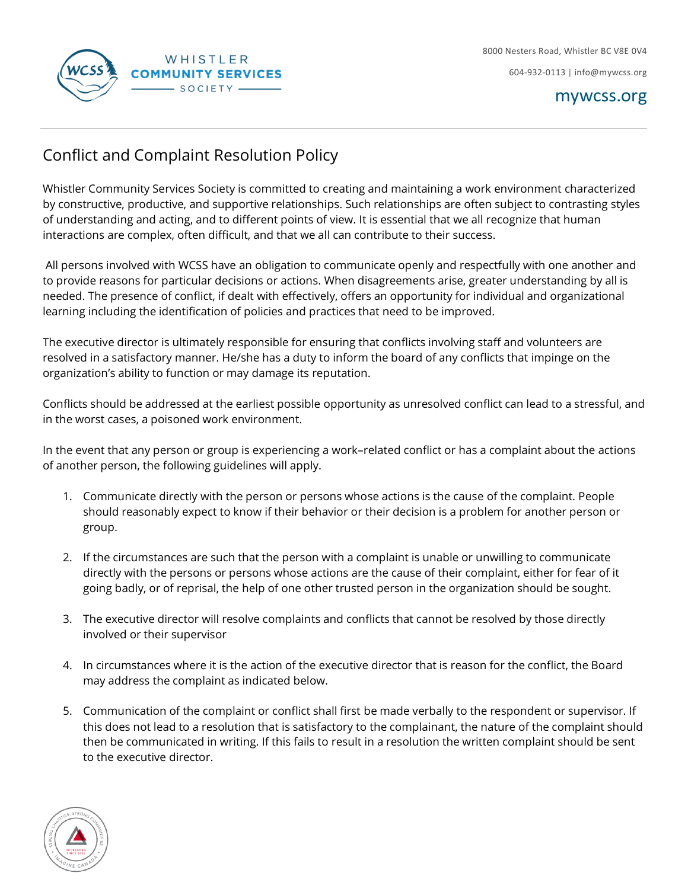

## Conflict and Complaint Resolution Policy

Whistler Community Services Society is committed to creating and maintaining a work environment characterized by constructive, productive, and supportive relationships. Such relationships are often subject to contrasting styles of understanding and acting, and to different points of view. It is essential that we all recognize that human interactions are complex, often difficult, and that we all can contribute to their success.

All persons involved with WCSS have an obligation to communicate openly and respectfully with one another and to provide reasons for particular decisions or actions. When disagreements arise, greater understanding by all is needed. The presence of conflict, if dealt with effectively, offers an opportunity for individual and organizational learning including the identification of policies and practices that need to be improved.

The executive director is ultimately responsible for ensuring that conflicts involving staff and volunteers are resolved in a satisfactory manner. He/she has a duty to inform the board of any conflicts that impinge on the organization's ability to function or may damage its reputation.

Conflicts should be addressed at the earliest possible opportunity as unresolved conflict can lead to a stressful, and in the worst cases, a poisoned work environment.

In the event that any person or group is experiencing a work–related conflict or has a complaint about the actions of another person, the following guidelines will apply.

- 1. Communicate directly with the person or persons whose actions is the cause of the complaint. People should reasonably expect to know if their behavior or their decision is a problem for another person or group.
- 2. If the circumstances are such that the person with a complaint is unable or unwilling to communicate directly with the persons or persons whose actions are the cause of their complaint, either for fear of it going badly, or of reprisal, the help of one other trusted person in the organization should be sought.
- 3. The executive director will resolve complaints and conflicts that cannot be resolved by those directly involved or their supervisor
- 4. In circumstances where it is the action of the executive director that is reason for the conflict, the Board may address the complaint as indicated below.
- 5. Communication of the complaint or conflict shall first be made verbally to the respondent or supervisor. If this does not lead to a resolution that is satisfactory to the complainant, the nature of the complaint should then be communicated in writing. If this fails to result in a resolution the written complaint should be sent to the executive director.